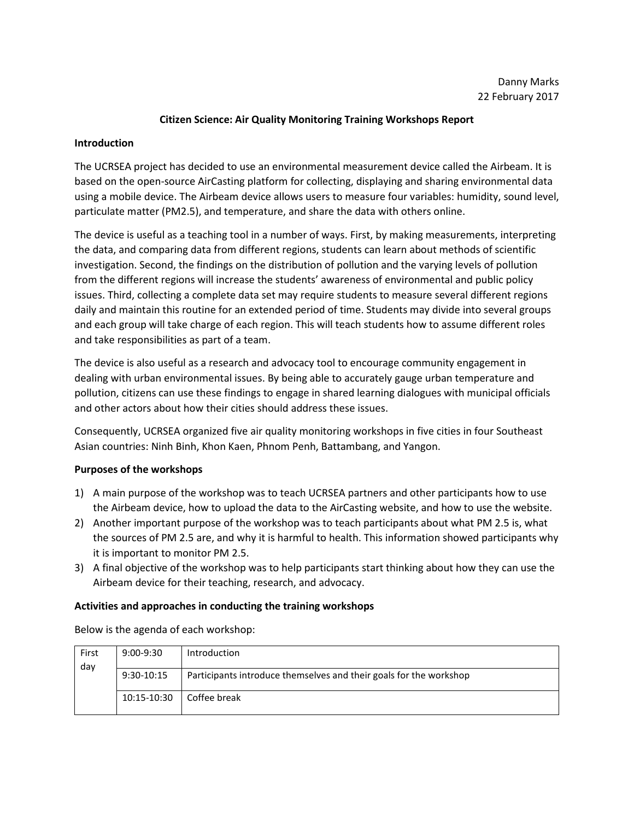### **Citizen Science: Air Quality Monitoring Training Workshops Report**

#### **Introduction**

The UCRSEA project has decided to use an environmental measurement device called the Airbeam. It is based on the open-source AirCasting platform for collecting, displaying and sharing environmental data using a mobile device. The Airbeam device allows users to measure four variables: humidity, sound level, particulate matter (PM2.5), and temperature, and share the data with others online.

The device is useful as a teaching tool in a number of ways. First, by making measurements, interpreting the data, and comparing data from different regions, students can learn about methods of scientific investigation. Second, the findings on the distribution of pollution and the varying levels of pollution from the different regions will increase the students' awareness of environmental and public policy issues. Third, collecting a complete data set may require students to measure several different regions daily and maintain this routine for an extended period of time. Students may divide into several groups and each group will take charge of each region. This will teach students how to assume different roles and take responsibilities as part of a team.

The device is also useful as a research and advocacy tool to encourage community engagement in dealing with urban environmental issues. By being able to accurately gauge urban temperature and pollution, citizens can use these findings to engage in shared learning dialogues with municipal officials and other actors about how their cities should address these issues.

Consequently, UCRSEA organized five air quality monitoring workshops in five cities in four Southeast Asian countries: Ninh Binh, Khon Kaen, Phnom Penh, Battambang, and Yangon.

## **Purposes of the workshops**

- 1) A main purpose of the workshop was to teach UCRSEA partners and other participants how to use the Airbeam device, how to upload the data to the AirCasting website, and how to use the website.
- 2) Another important purpose of the workshop was to teach participants about what PM 2.5 is, what the sources of PM 2.5 are, and why it is harmful to health. This information showed participants why it is important to monitor PM 2.5.
- 3) A final objective of the workshop was to help participants start thinking about how they can use the Airbeam device for their teaching, research, and advocacy.

#### **Activities and approaches in conducting the training workshops**

Below is the agenda of each workshop:

| First<br>day | $9:00-9:30$ | Introduction                                                       |
|--------------|-------------|--------------------------------------------------------------------|
|              | 9:30-10:15  | Participants introduce themselves and their goals for the workshop |
|              | 10:15-10:30 | Coffee break                                                       |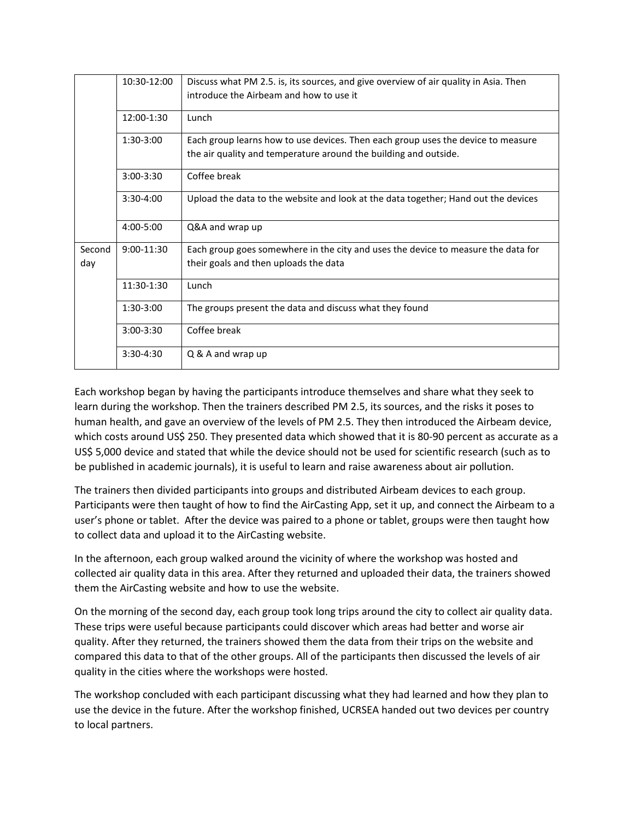|               | 10:30-12:00   | Discuss what PM 2.5. is, its sources, and give overview of air quality in Asia. Then<br>introduce the Airbeam and how to use it                      |
|---------------|---------------|------------------------------------------------------------------------------------------------------------------------------------------------------|
|               | 12:00-1:30    | Lunch                                                                                                                                                |
|               | $1:30-3:00$   | Each group learns how to use devices. Then each group uses the device to measure<br>the air quality and temperature around the building and outside. |
|               | $3:00-3:30$   | Coffee break                                                                                                                                         |
|               | $3:30-4:00$   | Upload the data to the website and look at the data together; Hand out the devices                                                                   |
|               | $4:00 - 5:00$ | Q&A and wrap up                                                                                                                                      |
| Second<br>day | $9:00-11:30$  | Each group goes somewhere in the city and uses the device to measure the data for<br>their goals and then uploads the data                           |
|               | 11:30-1:30    | Lunch                                                                                                                                                |
|               | $1:30-3:00$   | The groups present the data and discuss what they found                                                                                              |
|               | $3:00 - 3:30$ | Coffee break                                                                                                                                         |
|               | $3:30-4:30$   | $Q & A$ and wrap up                                                                                                                                  |

Each workshop began by having the participants introduce themselves and share what they seek to learn during the workshop. Then the trainers described PM 2.5, its sources, and the risks it poses to human health, and gave an overview of the levels of PM 2.5. They then introduced the Airbeam device, which costs around US\$ 250. They presented data which showed that it is 80-90 percent as accurate as a US\$ 5,000 device and stated that while the device should not be used for scientific research (such as to be published in academic journals), it is useful to learn and raise awareness about air pollution.

The trainers then divided participants into groups and distributed Airbeam devices to each group. Participants were then taught of how to find the AirCasting App, set it up, and connect the Airbeam to a user's phone or tablet. After the device was paired to a phone or tablet, groups were then taught how to collect data and upload it to the AirCasting website.

In the afternoon, each group walked around the vicinity of where the workshop was hosted and collected air quality data in this area. After they returned and uploaded their data, the trainers showed them the AirCasting website and how to use the website.

On the morning of the second day, each group took long trips around the city to collect air quality data. These trips were useful because participants could discover which areas had better and worse air quality. After they returned, the trainers showed them the data from their trips on the website and compared this data to that of the other groups. All of the participants then discussed the levels of air quality in the cities where the workshops were hosted.

The workshop concluded with each participant discussing what they had learned and how they plan to use the device in the future. After the workshop finished, UCRSEA handed out two devices per country to local partners.